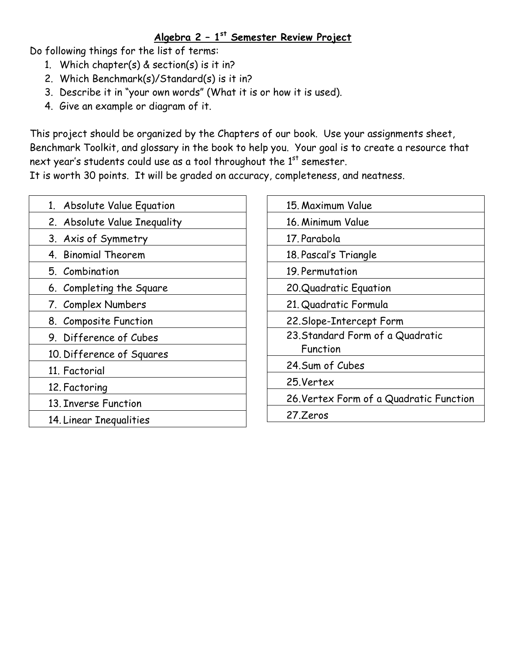## Algebra 2 - 1<sup>st</sup> Semester Review Project

Do following things for the list of terms:

- 1. Which chapter(s) & section(s) is it in?
- 2. Which Benchmark(s)/Standard(s) is it in?
- 3. Describe it in "your own words" (What it is or how it is used).
- 4. Give an example or diagram of it.

This project should be organized by the Chapters of our book. Use your assignments sheet, Benchmark Toolkit, and glossary in the book to help you. Your goal is to create a resource that next year's students could use as a tool throughout the 1<sup>st</sup> semester.

It is worth 30 points. It will be graded on accuracy, completeness, and neatness.

| 1. Absolute Value Equation   |
|------------------------------|
| 2. Absolute Value Inequality |
| 3. Axis of Symmetry          |
| 4. Binomial Theorem          |
| 5. Combination               |
| 6. Completing the Square     |
| 7. Complex Numbers           |
| 8. Composite Function        |
| 9. Difference of Cubes       |
| 10. Difference of Squares    |
| 11. Factorial                |
| 12. Factoring                |
| 13. Inverse Function         |
| 14. Linear Inequalities      |
|                              |

| 15. Maximum Value                       |
|-----------------------------------------|
| 16. Minimum Value                       |
| 17. Parabola                            |
| 18. Pascal's Triangle                   |
| 19. Permutation                         |
| 20. Quadratic Equation                  |
| 21. Quadratic Formula                   |
| 22. Slope-Intercept Form                |
| 23. Standard Form of a Quadratic        |
| Function                                |
| 24. Sum of Cubes                        |
| 25.Vertex                               |
| 26. Vertex Form of a Quadratic Function |
| 27.Zeros                                |
|                                         |